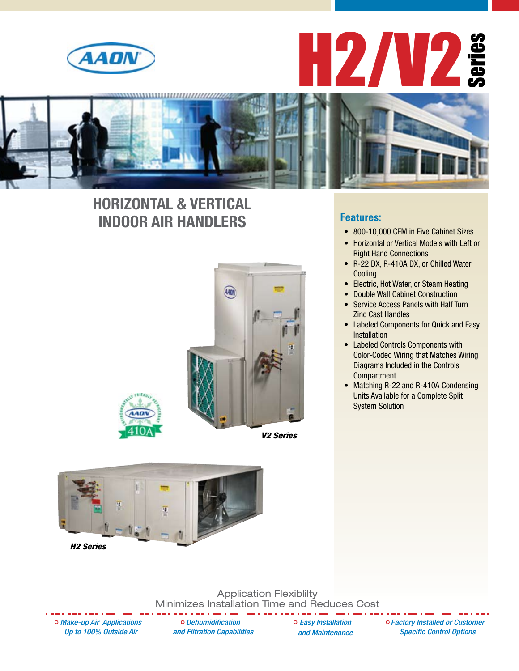





### **HORIZONTAL & VERTICAL INDOOR AIR HANDLERS**









*H2 Series*

Application Flexiblilty Minimizes Installation Time and Reduces Cost

*Make-up Air Applications Up to 100% Outside Air* 

*Dehumidification and Filtration Capabilities*  *Easy Installation and Maintenance* *Factory Installed or Customer Specific Control Options*

#### **Features:**

- 800-10,000 CFM in Five Cabinet Sizes
- • Horizontal or Vertical Models with Left or Right Hand Connections
- • R-22 DX, R-410A DX, or Chilled Water Cooling
- • Electric, Hot Water, or Steam Heating
- • Double Wall Cabinet Construction
- **Service Access Panels with Half Turn** Zinc Cast Handles
- • Labeled Components for Quick and Easy Installation
- Labeled Controls Components with Color-Coded Wiring that Matches Wiring Diagrams Included in the Controls **Compartment**
- Matching R-22 and R-410A Condensing Units Available for a Complete Split System Solution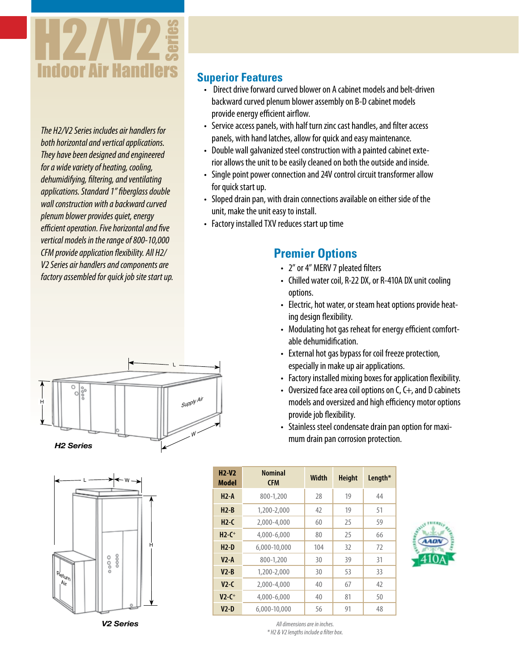

*The H2/V2 Series includes air handlers for both horizontal and vertical applications. They have been designed and engineered for a wide variety of heating, cooling, dehumidifying, filtering, and ventilating applications. Standard 1" fiberglass double wall construction with a backward curved plenum blower provides quiet, energy efficient operation. Five horizontal and five vertical models in the range of 800-10,000 CFM provide application flexibility. All H2/ V2 Series air handlers and components are factory assembled for quick job site start up.*

### **Superior Features**

- $\cdot$  Direct drive forward curved blower on A cabinet models and belt-driven backward curved plenum blower assembly on B-D cabinet models provide energy efficient airflow.
- Service access panels, with half turn zinc cast handles, and filter access panels, with hand latches, allow for quick and easy maintenance.
- Double wall galvanized steel construction with a painted cabinet exterior allows the unit to be easily cleaned on both the outside and inside.
- Single point power connection and 24V control circuit transformer allow for quick start up.
- Sloped drain pan, with drain connections available on either side of the unit, make the unit easy to install.
- Factory installed TXV reduces start up time

### **Premier Options**

- 2" or 4" MERV 7 pleated filters
- Chilled water coil, R-22 DX, or R-410A DX unit cooling options.
- Electric, hot water, or steam heat options provide heating design flexibility.
- Modulating hot gas reheat for energy efficient comfortable dehumidification.
- External hot gas bypass for coil freeze protection, especially in make up air applications.
- Factory installed mixing boxes for application flexibility.
- Oversized face area coil options on  $C, C+,$  and D cabinets models and oversized and high efficiency motor options provide job flexibility.
- Stainless steel condensate drain pan option for maximum drain pan corrosion protection.

| $H2-V2$<br>Model    | <b>Nominal</b><br><b>CFM</b> | <b>Width</b> | <b>Height</b> | Length* |
|---------------------|------------------------------|--------------|---------------|---------|
| $H2-A$              | 800-1,200                    | 28           | 19            | 44      |
| $H2-B$              | 1,200-2,000                  | 42           | 19            | 51      |
| $H2-C$              | 2,000-4,000                  | 60           | 25            | 59      |
| $H2-C+$             | 4,000-6,000                  | 80           | 25            | 66      |
| $H2-D$              | 6,000-10,000                 | 104          | 32            | 72      |
| $V2-A$              | 800-1,200                    | 30           | 39            | 31      |
| $V2 - B$            | 1,200-2,000                  | 30           | 53            | 33      |
| $V2-C$              | 2,000-4,000                  | 40           | 67            | 42      |
| $V2-C$ <sup>+</sup> | 4,000-6,000                  | 40           | 81            | 50      |
| $V2-D$              | 6.000-10.000                 | 56           | 91            | 48      |







*V2 Series*

*All dimensions are in inches. \* H2 & V2 lengths include a filter box.*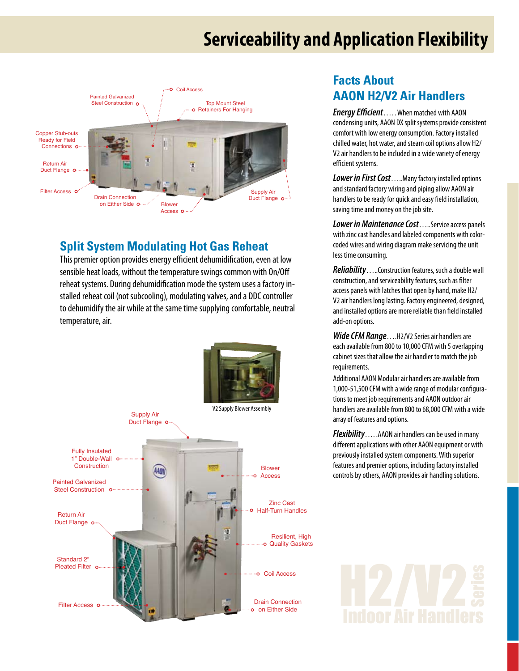## **Serviceability and Application Flexibility**



#### **Split System Modulating Hot Gas Reheat**

This premier option provides energy efficient dehumidification, even at low sensible heat loads, without the temperature swings common with On/Off reheat systems. During dehumidification mode the system uses a factory installed reheat coil (not subcooling), modulating valves, and a DDC controller to dehumidify the air while at the same time supplying comfortable, neutral temperature, air.



### **Facts About AAON H2/V2 Air Handlers**

*Energy Efficient*…. .When matched with AAON condensing units, AAON DX split systems provide consistent comfort with low energy consumption. Factory installed chilled water, hot water, and steam coil options allow H2/ V2 air handlers to be included in a wide variety of energy efficient systems.

**Lower in First Cost.....Many factory installed options** and standard factory wiring and piping allow AAON air handlers to be ready for quick and easy field installation, saving time and money on the job site.

**Lower in Maintenance Cost....**Service access panels with zinc cast handles and labeled components with colorcoded wires and wiring diagram make servicing the unit less time consuming.

*Reliability*…..Construction features, such a double wall construction, and serviceability features, such as filter access panels with latches that open by hand, make H2/ V2 air handlers long lasting. Factory engineered, designed, and installed options are more reliable than field installed add-on options.

*Wide CFM Range*....H2/V2 Series air handlers are each available from 800 to 10,000 CFM with 5 overlapping cabinet sizes that allow the air handler to match the job requirements.

Additional AAON Modular air handlers are available from 1,000-51,500 CFM with a wide range of modular configurations to meet job requirements and AAON outdoor air handlers are available from 800 to 68,000 CFM with a wide array of features and options.

*Flexibility*….. .AAON air handlers can be used in many different applications with other AAON equipment or with previously installed system components. With superior features and premier options, including factory installed controls by others, AAON provides air handling solutions.